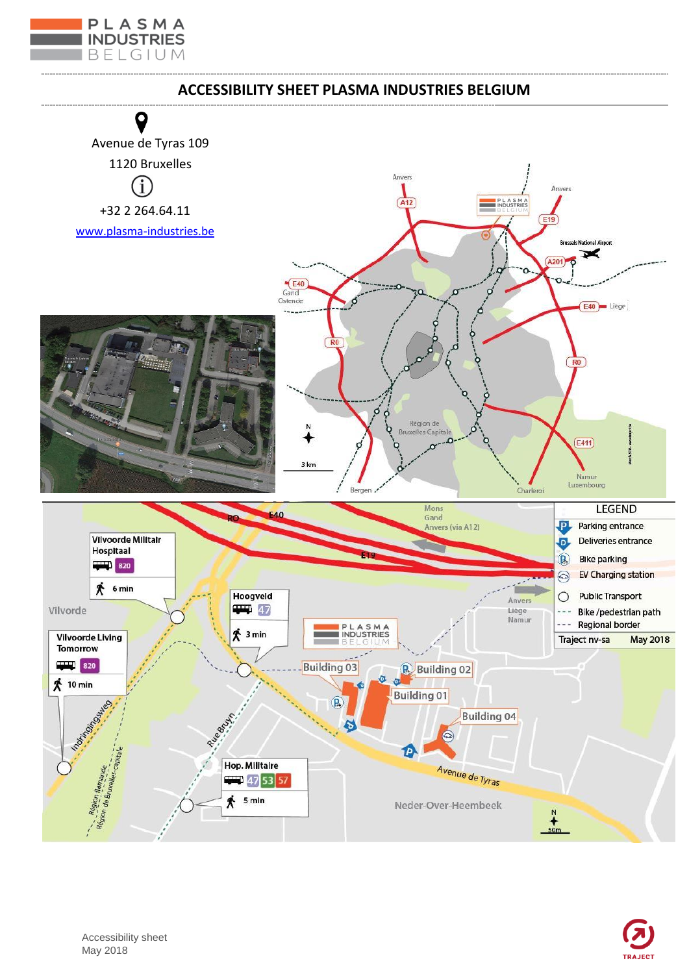

## **ACCESSIBILITY SHEET PLASMA INDUSTRIES BELGIUM**